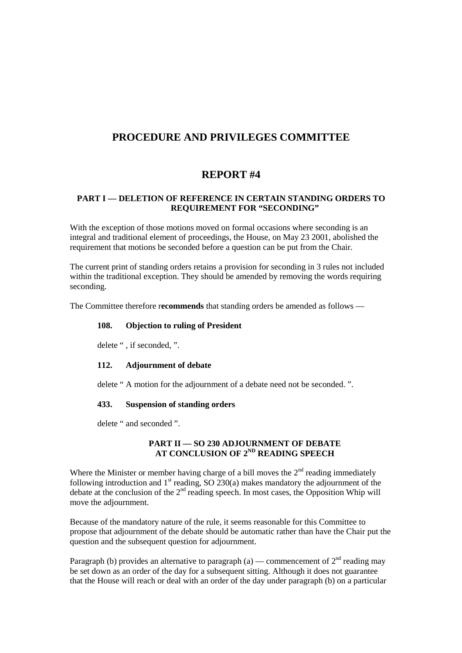# **PROCEDURE AND PRIVILEGES COMMITTEE**

# **REPORT #4**

## **PART I — DELETION OF REFERENCE IN CERTAIN STANDING ORDERS TO REQUIREMENT FOR "SECONDING"**

With the exception of those motions moved on formal occasions where seconding is an integral and traditional element of proceedings, the House, on May 23 2001, abolished the requirement that motions be seconded before a question can be put from the Chair.

The current print of standing orders retains a provision for seconding in 3 rules not included within the traditional exception. They should be amended by removing the words requiring seconding.

The Committee therefore r**ecommends** that standing orders be amended as follows —

#### **108. Objection to ruling of President**

delete " , if seconded, ".

#### **112. Adjournment of debate**

delete " A motion for the adjournment of a debate need not be seconded. ".

#### **433. Suspension of standing orders**

delete " and seconded ".

## **PART II — SO 230 ADJOURNMENT OF DEBATE AT CONCLUSION OF 2ND READING SPEECH**

Where the Minister or member having charge of a bill moves the  $2<sup>nd</sup>$  reading immediately following introduction and  $1<sup>st</sup>$  reading, SO 230(a) makes mandatory the adjournment of the debate at the conclusion of the 2nd reading speech. In most cases, the Opposition Whip will move the adjournment.

Because of the mandatory nature of the rule, it seems reasonable for this Committee to propose that adjournment of the debate should be automatic rather than have the Chair put the question and the subsequent question for adjournment.

Paragraph (b) provides an alternative to paragraph (a) — commencement of  $2<sup>nd</sup>$  reading may be set down as an order of the day for a subsequent sitting. Although it does not guarantee that the House will reach or deal with an order of the day under paragraph (b) on a particular